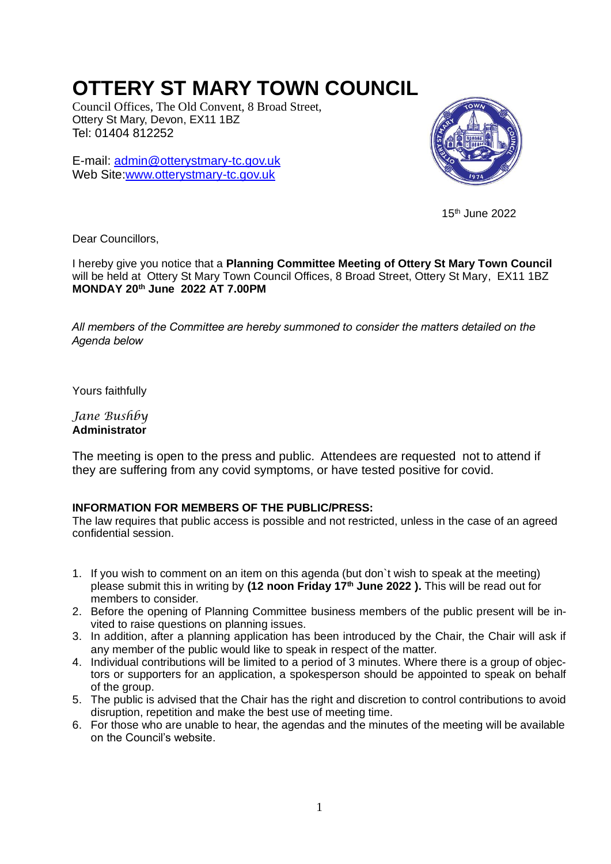# **OTTERY ST MARY TOWN COUNCIL**

Council Offices, The Old Convent, 8 Broad Street, Ottery St Mary, Devon, EX11 1BZ Tel: 01404 812252

E-mail: [admin@otterystmary-tc.gov.uk](mailto:admin@otterystmary-tc.gov.uk) Web Site[:www.otterystmary-tc.gov.uk](http://www.otterystmary-tc.gov.uk/)



15th June 2022

Dear Councillors,

I hereby give you notice that a **Planning Committee Meeting of Ottery St Mary Town Council** will be held at Ottery St Mary Town Council Offices, 8 Broad Street, Ottery St Mary, EX11 1BZ **MONDAY 20th June 2022 AT 7.00PM**

*All members of the Committee are hereby summoned to consider the matters detailed on the Agenda below*

Yours faithfully

#### *Jane Bushby* **Administrator**

The meeting is open to the press and public. Attendees are requested not to attend if they are suffering from any covid symptoms, or have tested positive for covid.

### **INFORMATION FOR MEMBERS OF THE PUBLIC/PRESS:**

The law requires that public access is possible and not restricted, unless in the case of an agreed confidential session.

- 1. If you wish to comment on an item on this agenda (but don`t wish to speak at the meeting) please submit this in writing by **(12 noon Friday 17th June 2022 ).** This will be read out for members to consider.
- 2. Before the opening of Planning Committee business members of the public present will be invited to raise questions on planning issues.
- 3. In addition, after a planning application has been introduced by the Chair, the Chair will ask if any member of the public would like to speak in respect of the matter.
- 4. Individual contributions will be limited to a period of 3 minutes. Where there is a group of objectors or supporters for an application, a spokesperson should be appointed to speak on behalf of the group.
- 5. The public is advised that the Chair has the right and discretion to control contributions to avoid disruption, repetition and make the best use of meeting time.
- 6. For those who are unable to hear, the agendas and the minutes of the meeting will be available on the Council's website.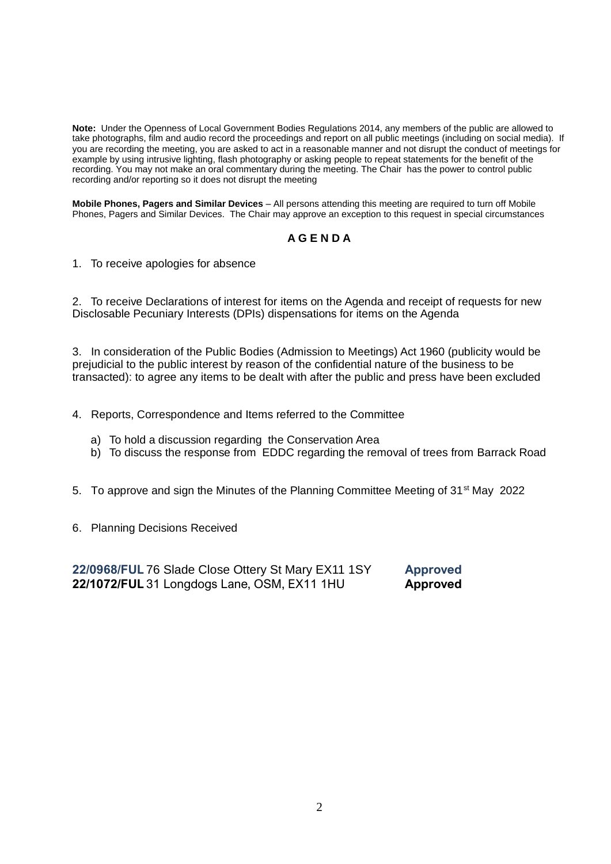**Note:** Under the Openness of Local Government Bodies Regulations 2014, any members of the public are allowed to take photographs, film and audio record the proceedings and report on all public meetings (including on social media). If you are recording the meeting, you are asked to act in a reasonable manner and not disrupt the conduct of meetings for example by using intrusive lighting, flash photography or asking people to repeat statements for the benefit of the recording. You may not make an oral commentary during the meeting. The Chair has the power to control public recording and/or reporting so it does not disrupt the meeting

**Mobile Phones, Pagers and Similar Devices** – All persons attending this meeting are required to turn off Mobile Phones, Pagers and Similar Devices. The Chair may approve an exception to this request in special circumstances

#### **A G E N D A**

1. To receive apologies for absence

2. To receive Declarations of interest for items on the Agenda and receipt of requests for new Disclosable Pecuniary Interests (DPIs) dispensations for items on the Agenda

3. In consideration of the Public Bodies (Admission to Meetings) Act 1960 (publicity would be prejudicial to the public interest by reason of the confidential nature of the business to be transacted): to agree any items to be dealt with after the public and press have been excluded

4. Reports, Correspondence and Items referred to the Committee

- a) To hold a discussion regarding the Conservation Area
- b) To discuss the response from EDDC regarding the removal of trees from Barrack Road
- 5. To approve and sign the Minutes of the Planning Committee Meeting of 31<sup>st</sup> May 2022
- 6. Planning Decisions Received

**22/0968/FUL** [76 Slade Close Ottery St Mary EX11 1SY](https://planning.eastdevon.gov.uk/online-applications/centralDistribution.do?caseType=Application&keyVal=RBBDXAGHMRW00) **Approved 22/1072/FUL** 31 Longdogs Lane, OSM, EX11 1HU **Approved**